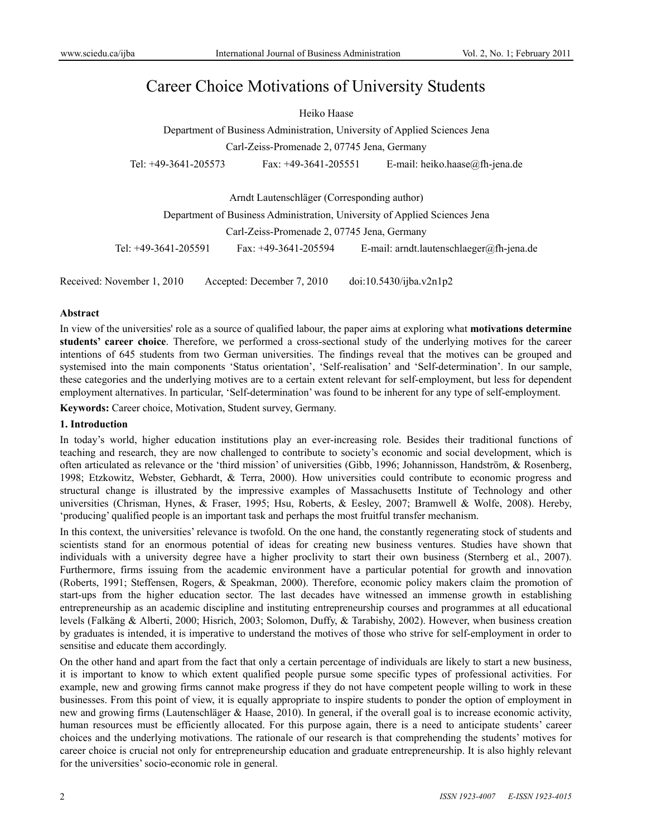# Career Choice Motivations of University Students

Heiko Haase

Department of Business Administration, University of Applied Sciences Jena Carl-Zeiss-Promenade 2, 07745 Jena, Germany Tel: +49-3641-205573 Fax: +49-3641-205551 E-mail: heiko.haase@fh-jena.de

Arndt Lautenschläger (Corresponding author)

Department of Business Administration, University of Applied Sciences Jena

Carl-Zeiss-Promenade 2, 07745 Jena, Germany

Tel: +49-3641-205591 Fax: +49-3641-205594 E-mail: arndt.lautenschlaeger@fh-jena.de

Received: November 1, 2010 Accepted: December 7, 2010 doi:10.5430/ijba.v2n1p2

## **Abstract**

In view of the universities' role as a source of qualified labour, the paper aims at exploring what **motivations determine students' career choice**. Therefore, we performed a cross-sectional study of the underlying motives for the career intentions of 645 students from two German universities. The findings reveal that the motives can be grouped and systemised into the main components 'Status orientation', 'Self-realisation' and 'Self-determination'. In our sample, these categories and the underlying motives are to a certain extent relevant for self-employment, but less for dependent employment alternatives. In particular, 'Self-determination' was found to be inherent for any type of self-employment.

**Keywords:** Career choice, Motivation, Student survey, Germany.

## **1. Introduction**

In today's world, higher education institutions play an ever-increasing role. Besides their traditional functions of teaching and research, they are now challenged to contribute to society's economic and social development, which is often articulated as relevance or the 'third mission' of universities (Gibb, 1996; Johannisson, Handström, & Rosenberg, 1998; Etzkowitz, Webster, Gebhardt, & Terra, 2000). How universities could contribute to economic progress and structural change is illustrated by the impressive examples of Massachusetts Institute of Technology and other universities (Chrisman, Hynes, & Fraser, 1995; Hsu, Roberts, & Eesley, 2007; Bramwell & Wolfe, 2008). Hereby, 'producing' qualified people is an important task and perhaps the most fruitful transfer mechanism.

In this context, the universities' relevance is twofold. On the one hand, the constantly regenerating stock of students and scientists stand for an enormous potential of ideas for creating new business ventures. Studies have shown that individuals with a university degree have a higher proclivity to start their own business (Sternberg et al., 2007). Furthermore, firms issuing from the academic environment have a particular potential for growth and innovation (Roberts, 1991; Steffensen, Rogers, & Speakman, 2000). Therefore, economic policy makers claim the promotion of start-ups from the higher education sector. The last decades have witnessed an immense growth in establishing entrepreneurship as an academic discipline and instituting entrepreneurship courses and programmes at all educational levels (Falkäng & Alberti, 2000; Hisrich, 2003; Solomon, Duffy, & Tarabishy, 2002). However, when business creation by graduates is intended, it is imperative to understand the motives of those who strive for self-employment in order to sensitise and educate them accordingly.

On the other hand and apart from the fact that only a certain percentage of individuals are likely to start a new business, it is important to know to which extent qualified people pursue some specific types of professional activities. For example, new and growing firms cannot make progress if they do not have competent people willing to work in these businesses. From this point of view, it is equally appropriate to inspire students to ponder the option of employment in new and growing firms (Lautenschläger & Haase, 2010). In general, if the overall goal is to increase economic activity, human resources must be efficiently allocated. For this purpose again, there is a need to anticipate students' career choices and the underlying motivations. The rationale of our research is that comprehending the students' motives for career choice is crucial not only for entrepreneurship education and graduate entrepreneurship. It is also highly relevant for the universities' socio-economic role in general.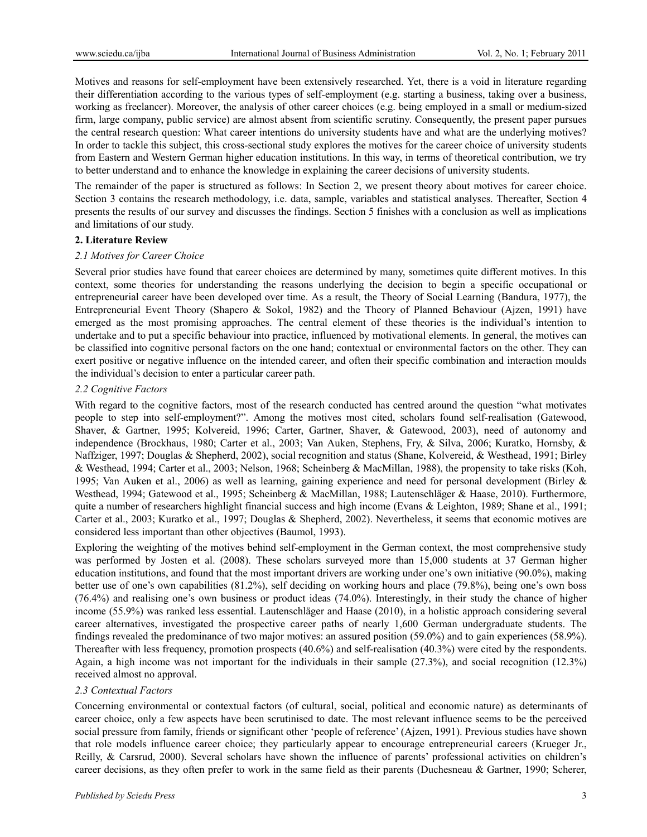Motives and reasons for self-employment have been extensively researched. Yet, there is a void in literature regarding their differentiation according to the various types of self-employment (e.g. starting a business, taking over a business, working as freelancer). Moreover, the analysis of other career choices (e.g. being employed in a small or medium-sized firm, large company, public service) are almost absent from scientific scrutiny. Consequently, the present paper pursues the central research question: What career intentions do university students have and what are the underlying motives? In order to tackle this subject, this cross-sectional study explores the motives for the career choice of university students from Eastern and Western German higher education institutions. In this way, in terms of theoretical contribution, we try to better understand and to enhance the knowledge in explaining the career decisions of university students.

The remainder of the paper is structured as follows: In Section 2, we present theory about motives for career choice. Section 3 contains the research methodology, i.e. data, sample, variables and statistical analyses. Thereafter, Section 4 presents the results of our survey and discusses the findings. Section 5 finishes with a conclusion as well as implications and limitations of our study.

#### **2. Literature Review**

#### *2.1 Motives for Career Choice*

Several prior studies have found that career choices are determined by many, sometimes quite different motives. In this context, some theories for understanding the reasons underlying the decision to begin a specific occupational or entrepreneurial career have been developed over time. As a result, the Theory of Social Learning (Bandura, 1977), the Entrepreneurial Event Theory (Shapero & Sokol, 1982) and the Theory of Planned Behaviour (Ajzen, 1991) have emerged as the most promising approaches. The central element of these theories is the individual's intention to undertake and to put a specific behaviour into practice, influenced by motivational elements. In general, the motives can be classified into cognitive personal factors on the one hand; contextual or environmental factors on the other. They can exert positive or negative influence on the intended career, and often their specific combination and interaction moulds the individual's decision to enter a particular career path.

## *2.2 Cognitive Factors*

With regard to the cognitive factors, most of the research conducted has centred around the question "what motivates people to step into self-employment?". Among the motives most cited, scholars found self-realisation (Gatewood, Shaver, & Gartner, 1995; Kolvereid, 1996; Carter, Gartner, Shaver, & Gatewood, 2003), need of autonomy and independence (Brockhaus, 1980; Carter et al., 2003; Van Auken, Stephens, Fry, & Silva, 2006; Kuratko, Hornsby, & Naffziger, 1997; Douglas & Shepherd, 2002), social recognition and status (Shane, Kolvereid, & Westhead, 1991; Birley & Westhead, 1994; Carter et al., 2003; Nelson, 1968; Scheinberg & MacMillan, 1988), the propensity to take risks (Koh, 1995; Van Auken et al., 2006) as well as learning, gaining experience and need for personal development (Birley & Westhead, 1994; Gatewood et al., 1995; Scheinberg & MacMillan, 1988; Lautenschläger & Haase, 2010). Furthermore, quite a number of researchers highlight financial success and high income (Evans & Leighton, 1989; Shane et al., 1991; Carter et al., 2003; Kuratko et al., 1997; Douglas & Shepherd, 2002). Nevertheless, it seems that economic motives are considered less important than other objectives (Baumol, 1993).

Exploring the weighting of the motives behind self-employment in the German context, the most comprehensive study was performed by Josten et al. (2008). These scholars surveyed more than 15,000 students at 37 German higher education institutions, and found that the most important drivers are working under one's own initiative (90.0%), making better use of one's own capabilities (81.2%), self deciding on working hours and place (79.8%), being one's own boss (76.4%) and realising one's own business or product ideas (74.0%). Interestingly, in their study the chance of higher income (55.9%) was ranked less essential. Lautenschläger and Haase (2010), in a holistic approach considering several career alternatives, investigated the prospective career paths of nearly 1,600 German undergraduate students. The findings revealed the predominance of two major motives: an assured position (59.0%) and to gain experiences (58.9%). Thereafter with less frequency, promotion prospects (40.6%) and self-realisation (40.3%) were cited by the respondents. Again, a high income was not important for the individuals in their sample (27.3%), and social recognition (12.3%) received almost no approval.

## *2.3 Contextual Factors*

Concerning environmental or contextual factors (of cultural, social, political and economic nature) as determinants of career choice, only a few aspects have been scrutinised to date. The most relevant influence seems to be the perceived social pressure from family, friends or significant other 'people of reference' (Ajzen, 1991). Previous studies have shown that role models influence career choice; they particularly appear to encourage entrepreneurial careers (Krueger Jr., Reilly, & Carsrud, 2000). Several scholars have shown the influence of parents' professional activities on children's career decisions, as they often prefer to work in the same field as their parents (Duchesneau & Gartner, 1990; Scherer,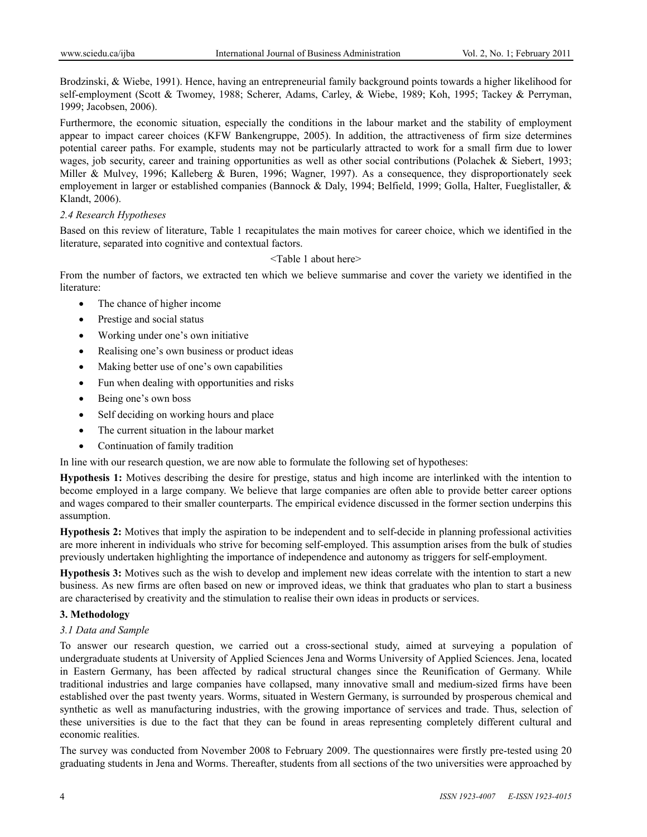Brodzinski, & Wiebe, 1991). Hence, having an entrepreneurial family background points towards a higher likelihood for self-employment (Scott & Twomey, 1988; Scherer, Adams, Carley, & Wiebe, 1989; Koh, 1995; Tackey & Perryman, 1999; Jacobsen, 2006).

Furthermore, the economic situation, especially the conditions in the labour market and the stability of employment appear to impact career choices (KFW Bankengruppe, 2005). In addition, the attractiveness of firm size determines potential career paths. For example, students may not be particularly attracted to work for a small firm due to lower wages, job security, career and training opportunities as well as other social contributions (Polachek & Siebert, 1993; Miller & Mulvey, 1996; Kalleberg & Buren, 1996; Wagner, 1997). As a consequence, they disproportionately seek employement in larger or established companies (Bannock & Daly, 1994; Belfield, 1999; Golla, Halter, Fueglistaller, & Klandt, 2006).

## *2.4 Research Hypotheses*

Based on this review of literature, Table 1 recapitulates the main motives for career choice, which we identified in the literature, separated into cognitive and contextual factors.

## <Table 1 about here>

From the number of factors, we extracted ten which we believe summarise and cover the variety we identified in the literature<sup>.</sup>

- The chance of higher income
- Prestige and social status
- Working under one's own initiative
- Realising one's own business or product ideas
- Making better use of one's own capabilities
- Fun when dealing with opportunities and risks
- Being one's own boss
- Self deciding on working hours and place
- The current situation in the labour market
- Continuation of family tradition

In line with our research question, we are now able to formulate the following set of hypotheses:

**Hypothesis 1:** Motives describing the desire for prestige, status and high income are interlinked with the intention to become employed in a large company. We believe that large companies are often able to provide better career options and wages compared to their smaller counterparts. The empirical evidence discussed in the former section underpins this assumption.

**Hypothesis 2:** Motives that imply the aspiration to be independent and to self-decide in planning professional activities are more inherent in individuals who strive for becoming self-employed. This assumption arises from the bulk of studies previously undertaken highlighting the importance of independence and autonomy as triggers for self-employment.

**Hypothesis 3:** Motives such as the wish to develop and implement new ideas correlate with the intention to start a new business. As new firms are often based on new or improved ideas, we think that graduates who plan to start a business are characterised by creativity and the stimulation to realise their own ideas in products or services.

## **3. Methodology**

## *3.1 Data and Sample*

To answer our research question, we carried out a cross-sectional study, aimed at surveying a population of undergraduate students at University of Applied Sciences Jena and Worms University of Applied Sciences. Jena, located in Eastern Germany, has been affected by radical structural changes since the Reunification of Germany. While traditional industries and large companies have collapsed, many innovative small and medium-sized firms have been established over the past twenty years. Worms, situated in Western Germany, is surrounded by prosperous chemical and synthetic as well as manufacturing industries, with the growing importance of services and trade. Thus, selection of these universities is due to the fact that they can be found in areas representing completely different cultural and economic realities.

The survey was conducted from November 2008 to February 2009. The questionnaires were firstly pre-tested using 20 graduating students in Jena and Worms. Thereafter, students from all sections of the two universities were approached by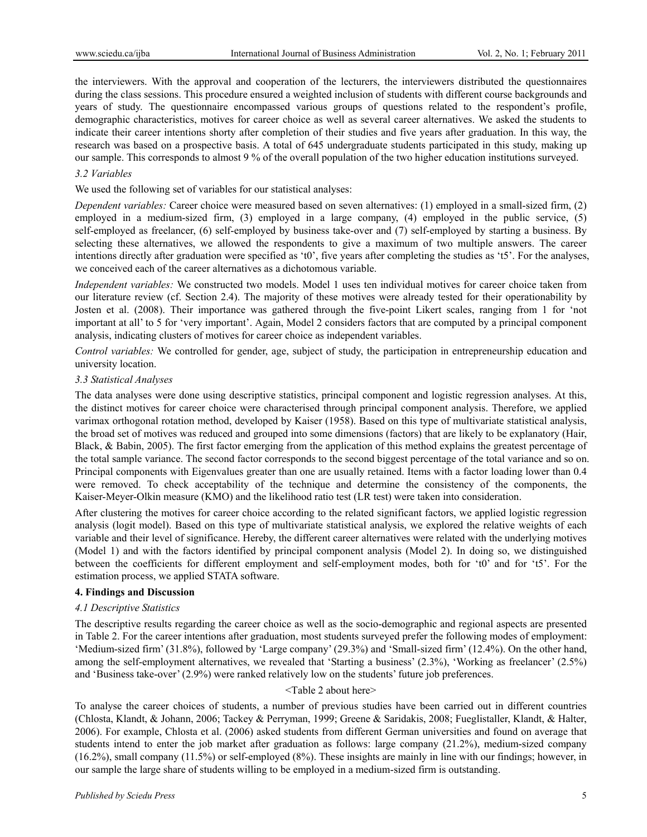the interviewers. With the approval and cooperation of the lecturers, the interviewers distributed the questionnaires during the class sessions. This procedure ensured a weighted inclusion of students with different course backgrounds and years of study. The questionnaire encompassed various groups of questions related to the respondent's profile, demographic characteristics, motives for career choice as well as several career alternatives. We asked the students to indicate their career intentions shorty after completion of their studies and five years after graduation. In this way, the research was based on a prospective basis. A total of 645 undergraduate students participated in this study, making up our sample. This corresponds to almost 9 % of the overall population of the two higher education institutions surveyed.

## *3.2 Variables*

We used the following set of variables for our statistical analyses:

*Dependent variables:* Career choice were measured based on seven alternatives: (1) employed in a small-sized firm, (2) employed in a medium-sized firm, (3) employed in a large company, (4) employed in the public service, (5) self-employed as freelancer, (6) self-employed by business take-over and (7) self-employed by starting a business. By selecting these alternatives, we allowed the respondents to give a maximum of two multiple answers. The career intentions directly after graduation were specified as 't0', five years after completing the studies as 't5'. For the analyses, we conceived each of the career alternatives as a dichotomous variable.

*Independent variables:* We constructed two models. Model 1 uses ten individual motives for career choice taken from our literature review (cf. Section 2.4). The majority of these motives were already tested for their operationability by Josten et al. (2008). Their importance was gathered through the five-point Likert scales, ranging from 1 for 'not important at all' to 5 for 'very important'. Again, Model 2 considers factors that are computed by a principal component analysis, indicating clusters of motives for career choice as independent variables.

*Control variables:* We controlled for gender, age, subject of study, the participation in entrepreneurship education and university location.

#### *3.3 Statistical Analyses*

The data analyses were done using descriptive statistics, principal component and logistic regression analyses. At this, the distinct motives for career choice were characterised through principal component analysis. Therefore, we applied varimax orthogonal rotation method, developed by Kaiser (1958). Based on this type of multivariate statistical analysis, the broad set of motives was reduced and grouped into some dimensions (factors) that are likely to be explanatory (Hair, Black, & Babin, 2005). The first factor emerging from the application of this method explains the greatest percentage of the total sample variance. The second factor corresponds to the second biggest percentage of the total variance and so on. Principal components with Eigenvalues greater than one are usually retained. Items with a factor loading lower than 0.4 were removed. To check acceptability of the technique and determine the consistency of the components, the Kaiser-Meyer-Olkin measure (KMO) and the likelihood ratio test (LR test) were taken into consideration.

After clustering the motives for career choice according to the related significant factors, we applied logistic regression analysis (logit model). Based on this type of multivariate statistical analysis, we explored the relative weights of each variable and their level of significance. Hereby, the different career alternatives were related with the underlying motives (Model 1) and with the factors identified by principal component analysis (Model 2). In doing so, we distinguished between the coefficients for different employment and self-employment modes, both for 't0' and for 't5'. For the estimation process, we applied STATA software.

## **4. Findings and Discussion**

## *4.1 Descriptive Statistics*

The descriptive results regarding the career choice as well as the socio-demographic and regional aspects are presented in Table 2. For the career intentions after graduation, most students surveyed prefer the following modes of employment: 'Medium-sized firm' (31.8%), followed by 'Large company' (29.3%) and 'Small-sized firm' (12.4%). On the other hand, among the self-employment alternatives, we revealed that 'Starting a business' (2.3%), 'Working as freelancer' (2.5%) and 'Business take-over' (2.9%) were ranked relatively low on the students' future job preferences.

#### <Table 2 about here>

To analyse the career choices of students, a number of previous studies have been carried out in different countries (Chlosta, Klandt, & Johann, 2006; Tackey & Perryman, 1999; Greene & Saridakis, 2008; Fueglistaller, Klandt, & Halter, 2006). For example, Chlosta et al. (2006) asked students from different German universities and found on average that students intend to enter the job market after graduation as follows: large company (21.2%), medium-sized company (16.2%), small company (11.5%) or self-employed (8%). These insights are mainly in line with our findings; however, in our sample the large share of students willing to be employed in a medium-sized firm is outstanding.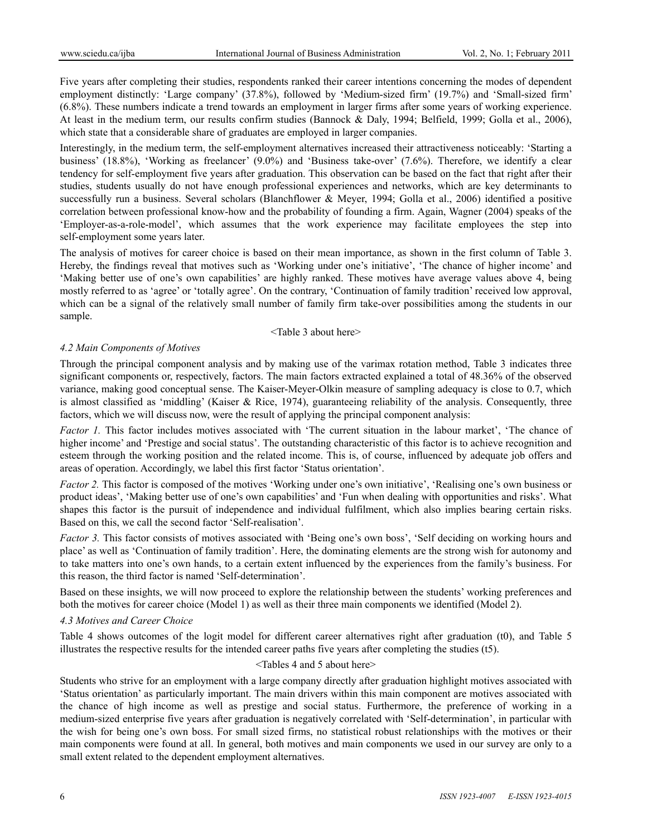Five years after completing their studies, respondents ranked their career intentions concerning the modes of dependent employment distinctly: 'Large company' (37.8%), followed by 'Medium-sized firm' (19.7%) and 'Small-sized firm' (6.8%). These numbers indicate a trend towards an employment in larger firms after some years of working experience. At least in the medium term, our results confirm studies (Bannock & Daly, 1994; Belfield, 1999; Golla et al., 2006), which state that a considerable share of graduates are employed in larger companies.

Interestingly, in the medium term, the self-employment alternatives increased their attractiveness noticeably: 'Starting a business' (18.8%), 'Working as freelancer' (9.0%) and 'Business take-over' (7.6%). Therefore, we identify a clear tendency for self-employment five years after graduation. This observation can be based on the fact that right after their studies, students usually do not have enough professional experiences and networks, which are key determinants to successfully run a business. Several scholars (Blanchflower & Meyer, 1994; Golla et al., 2006) identified a positive correlation between professional know-how and the probability of founding a firm. Again, Wagner (2004) speaks of the 'Employer-as-a-role-model', which assumes that the work experience may facilitate employees the step into self-employment some years later.

The analysis of motives for career choice is based on their mean importance, as shown in the first column of Table 3. Hereby, the findings reveal that motives such as 'Working under one's initiative', 'The chance of higher income' and 'Making better use of one's own capabilities' are highly ranked. These motives have average values above 4, being mostly referred to as 'agree' or 'totally agree'. On the contrary, 'Continuation of family tradition' received low approval, which can be a signal of the relatively small number of family firm take-over possibilities among the students in our sample.

#### <Table 3 about here>

#### *4.2 Main Components of Motives*

Through the principal component analysis and by making use of the varimax rotation method, Table 3 indicates three significant components or, respectively, factors. The main factors extracted explained a total of 48.36% of the observed variance, making good conceptual sense. The Kaiser-Meyer-Olkin measure of sampling adequacy is close to 0.7, which is almost classified as 'middling' (Kaiser & Rice, 1974), guaranteeing reliability of the analysis. Consequently, three factors, which we will discuss now, were the result of applying the principal component analysis:

*Factor 1.* This factor includes motives associated with 'The current situation in the labour market', 'The chance of higher income' and 'Prestige and social status'. The outstanding characteristic of this factor is to achieve recognition and esteem through the working position and the related income. This is, of course, influenced by adequate job offers and areas of operation. Accordingly, we label this first factor 'Status orientation'.

*Factor 2.* This factor is composed of the motives 'Working under one's own initiative', 'Realising one's own business or product ideas', 'Making better use of one's own capabilities' and 'Fun when dealing with opportunities and risks'. What shapes this factor is the pursuit of independence and individual fulfilment, which also implies bearing certain risks. Based on this, we call the second factor 'Self-realisation'.

*Factor 3.* This factor consists of motives associated with 'Being one's own boss', 'Self deciding on working hours and place' as well as 'Continuation of family tradition'. Here, the dominating elements are the strong wish for autonomy and to take matters into one's own hands, to a certain extent influenced by the experiences from the family's business. For this reason, the third factor is named 'Self-determination'.

Based on these insights, we will now proceed to explore the relationship between the students' working preferences and both the motives for career choice (Model 1) as well as their three main components we identified (Model 2).

#### *4.3 Motives and Career Choice*

Table 4 shows outcomes of the logit model for different career alternatives right after graduation (t0), and Table 5 illustrates the respective results for the intended career paths five years after completing the studies (t5).

## <Tables 4 and 5 about here>

Students who strive for an employment with a large company directly after graduation highlight motives associated with 'Status orientation' as particularly important. The main drivers within this main component are motives associated with the chance of high income as well as prestige and social status. Furthermore, the preference of working in a medium-sized enterprise five years after graduation is negatively correlated with 'Self-determination', in particular with the wish for being one's own boss. For small sized firms, no statistical robust relationships with the motives or their main components were found at all. In general, both motives and main components we used in our survey are only to a small extent related to the dependent employment alternatives.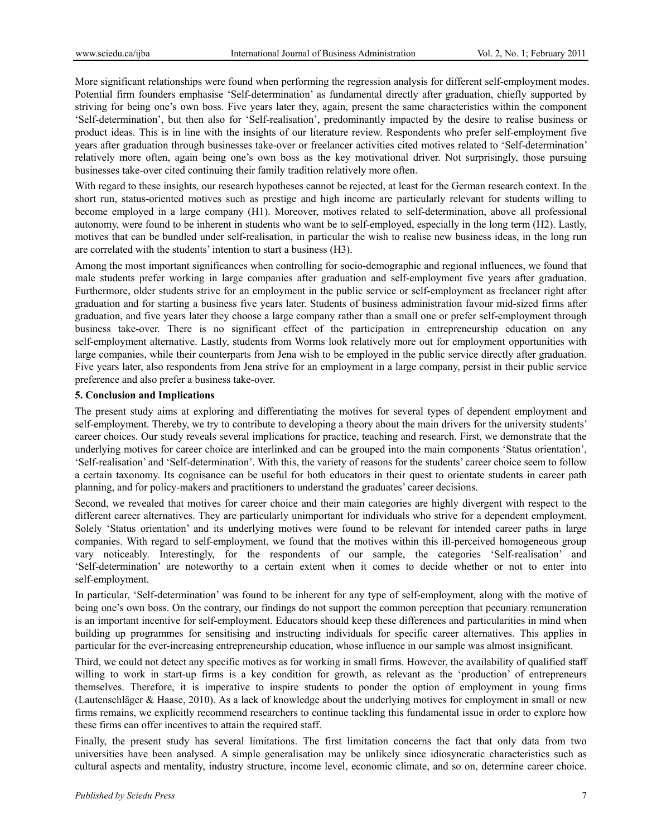More significant relationships were found when performing the regression analysis for different self-employment modes. Potential firm founders emphasise 'Self-determination' as fundamental directly after graduation, chiefly supported by striving for being one's own boss. Five years later they, again, present the same characteristics within the component 'Self-determination', but then also for 'Self-realisation', predominantly impacted by the desire to realise business or product ideas. This is in line with the insights of our literature review. Respondents who prefer self-employment five years after graduation through businesses take-over or freelancer activities cited motives related to 'Self-determination' relatively more often, again being one's own boss as the key motivational driver. Not surprisingly, those pursuing businesses take-over cited continuing their family tradition relatively more often.

With regard to these insights, our research hypotheses cannot be rejected, at least for the German research context. In the short run, status-oriented motives such as prestige and high income are particularly relevant for students willing to become employed in a large company (H1). Moreover, motives related to self-determination, above all professional autonomy, were found to be inherent in students who want be to self-employed, especially in the long term (H2). Lastly, motives that can be bundled under self-realisation, in particular the wish to realise new business ideas, in the long run are correlated with the students' intention to start a business (H3).

Among the most important significances when controlling for socio-demographic and regional influences, we found that male students prefer working in large companies after graduation and self-employment five years after graduation. Furthermore, older students strive for an employment in the public service or self-employment as freelancer right after graduation and for starting a business five years later. Students of business administration favour mid-sized firms after graduation, and five years later they choose a large company rather than a small one or prefer self-employment through business take-over. There is no significant effect of the participation in entrepreneurship education on any self-employment alternative. Lastly, students from Worms look relatively more out for employment opportunities with large companies, while their counterparts from Jena wish to be employed in the public service directly after graduation. Five years later, also respondents from Jena strive for an employment in a large company, persist in their public service preference and also prefer a business take-over.

## **5. Conclusion and Implications**

The present study aims at exploring and differentiating the motives for several types of dependent employment and self-employment. Thereby, we try to contribute to developing a theory about the main drivers for the university students' career choices. Our study reveals several implications for practice, teaching and research. First, we demonstrate that the underlying motives for career choice are interlinked and can be grouped into the main components 'Status orientation', 'Self-realisation' and 'Self-determination'. With this, the variety of reasons for the students' career choice seem to follow a certain taxonomy. Its cognisance can be useful for both educators in their quest to orientate students in career path planning, and for policy-makers and practitioners to understand the graduates' career decisions.

Second, we revealed that motives for career choice and their main categories are highly divergent with respect to the different career alternatives. They are particularly unimportant for individuals who strive for a dependent employment. Solely 'Status orientation' and its underlying motives were found to be relevant for intended career paths in large companies. With regard to self-employment, we found that the motives within this ill-perceived homogeneous group vary noticeably. Interestingly, for the respondents of our sample, the categories 'Self-realisation' and 'Self-determination' are noteworthy to a certain extent when it comes to decide whether or not to enter into self-employment.

In particular, 'Self-determination' was found to be inherent for any type of self-employment, along with the motive of being one's own boss. On the contrary, our findings do not support the common perception that pecuniary remuneration is an important incentive for self-employment. Educators should keep these differences and particularities in mind when building up programmes for sensitising and instructing individuals for specific career alternatives. This applies in particular for the ever-increasing entrepreneurship education, whose influence in our sample was almost insignificant.

Third, we could not detect any specific motives as for working in small firms. However, the availability of qualified staff willing to work in start-up firms is a key condition for growth, as relevant as the 'production' of entrepreneurs themselves. Therefore, it is imperative to inspire students to ponder the option of employment in young firms (Lautenschläger & Haase, 2010). As a lack of knowledge about the underlying motives for employment in small or new firms remains, we explicitly recommend researchers to continue tackling this fundamental issue in order to explore how these firms can offer incentives to attain the required staff.

Finally, the present study has several limitations. The first limitation concerns the fact that only data from two universities have been analysed. A simple generalisation may be unlikely since idiosyncratic characteristics such as cultural aspects and mentality, industry structure, income level, economic climate, and so on, determine career choice.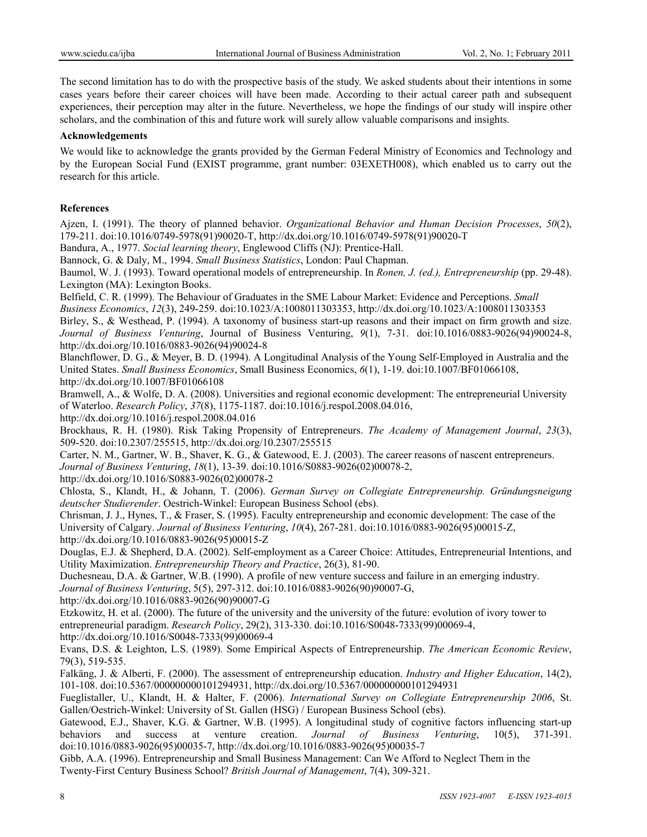The second limitation has to do with the prospective basis of the study. We asked students about their intentions in some cases years before their career choices will have been made. According to their actual career path and subsequent experiences, their perception may alter in the future. Nevertheless, we hope the findings of our study will inspire other scholars, and the combination of this and future work will surely allow valuable comparisons and insights.

#### **Acknowledgements**

We would like to acknowledge the grants provided by the German Federal Ministry of Economics and Technology and by the European Social Fund (EXIST programme, grant number: 03EXETH008), which enabled us to carry out the research for this article.

#### **References**

Ajzen, I. (1991). The theory of planned behavior. *Organizational Behavior and Human Decision Processes*, *50*(2), 179-211. doi:10.1016/0749-5978(91)90020-T, http://dx.doi.org/10.1016/0749-5978(91)90020-T

Bandura, A., 1977. *Social learning theory*, Englewood Cliffs (NJ): Prentice-Hall.

Bannock, G. & Daly, M., 1994. *Small Business Statistics*, London: Paul Chapman.

Baumol, W. J. (1993). Toward operational models of entrepreneurship. In *Ronen, J. (ed.), Entrepreneurship* (pp. 29-48). Lexington (MA): Lexington Books.

Belfield, C. R. (1999). The Behaviour of Graduates in the SME Labour Market: Evidence and Perceptions. *Small Business Economics*, *12*(3), 249-259. doi:10.1023/A:1008011303353, http://dx.doi.org/10.1023/A:1008011303353 Birley, S., & Westhead, P. (1994). A taxonomy of business start-up reasons and their impact on firm growth and size.

*Journal of Business Venturing*, Journal of Business Venturing, *9*(1), 7-31. doi:10.1016/0883-9026(94)90024-8, http://dx.doi.org/10.1016/0883-9026(94)90024-8

Blanchflower, D. G., & Meyer, B. D. (1994). A Longitudinal Analysis of the Young Self-Employed in Australia and the United States. *Small Business Economics*, Small Business Economics, *6*(1), 1-19. doi:10.1007/BF01066108, http://dx.doi.org/10.1007/BF01066108

Bramwell, A., & Wolfe, D. A. (2008). Universities and regional economic development: The entrepreneurial University of Waterloo. *Research Policy*, *37*(8), 1175-1187. doi:10.1016/j.respol.2008.04.016,

http://dx.doi.org/10.1016/j.respol.2008.04.016

Brockhaus, R. H. (1980). Risk Taking Propensity of Entrepreneurs. *The Academy of Management Journal*, *23*(3), 509-520. doi:10.2307/255515, http://dx.doi.org/10.2307/255515

Carter, N. M., Gartner, W. B., Shaver, K. G., & Gatewood, E. J. (2003). The career reasons of nascent entrepreneurs. *Journal of Business Venturing*, *18*(1), 13-39. doi:10.1016/S0883-9026(02)00078-2,

http://dx.doi.org/10.1016/S0883-9026(02)00078-2

Chlosta, S., Klandt, H., & Johann, T. (2006). *German Survey on Collegiate Entrepreneurship. Gründungsneigung deutscher Studierender*. Oestrich-Winkel: European Business School (ebs).

Chrisman, J. J., Hynes, T., & Fraser, S. (1995). Faculty entrepreneurship and economic development: The case of the University of Calgary. *Journal of Business Venturing*, *10*(4), 267-281. doi:10.1016/0883-9026(95)00015-Z, http://dx.doi.org/10.1016/0883-9026(95)00015-Z

Douglas, E.J. & Shepherd, D.A. (2002). Self-employment as a Career Choice: Attitudes, Entrepreneurial Intentions, and Utility Maximization. *Entrepreneurship Theory and Practice*, 26(3), 81-90.

Duchesneau, D.A. & Gartner, W.B. (1990). A profile of new venture success and failure in an emerging industry. *Journal of Business Venturing*, 5(5), 297-312. doi:10.1016/0883-9026(90)90007-G,

http://dx.doi.org/10.1016/0883-9026(90)90007-G

Etzkowitz, H. et al. (2000). The future of the university and the university of the future: evolution of ivory tower to entrepreneurial paradigm. *Research Policy*, 29(2), 313-330. doi:10.1016/S0048-7333(99)00069-4,

http://dx.doi.org/10.1016/S0048-7333(99)00069-4

Evans, D.S. & Leighton, L.S. (1989). Some Empirical Aspects of Entrepreneurship. *The American Economic Review*, 79(3), 519-535.

Falkäng, J. & Alberti, F. (2000). The assessment of entrepreneurship education. *Industry and Higher Education*, 14(2), 101-108. doi:10.5367/000000000101294931, http://dx.doi.org/10.5367/000000000101294931

Fueglistaller, U., Klandt, H. & Halter, F. (2006). *International Survey on Collegiate Entrepreneurship 2006*, St. Gallen/Oestrich-Winkel: University of St. Gallen (HSG) / European Business School (ebs).

Gatewood, E.J., Shaver, K.G. & Gartner, W.B. (1995). A longitudinal study of cognitive factors influencing start-up behaviors and success at venture creation. *Journal of Business Venturing*, 10(5), 371-391. doi:10.1016/0883-9026(95)00035-7, http://dx.doi.org/10.1016/0883-9026(95)00035-7

Gibb, A.A. (1996). Entrepreneurship and Small Business Management: Can We Afford to Neglect Them in the Twenty-First Century Business School? *British Journal of Management*, 7(4), 309-321.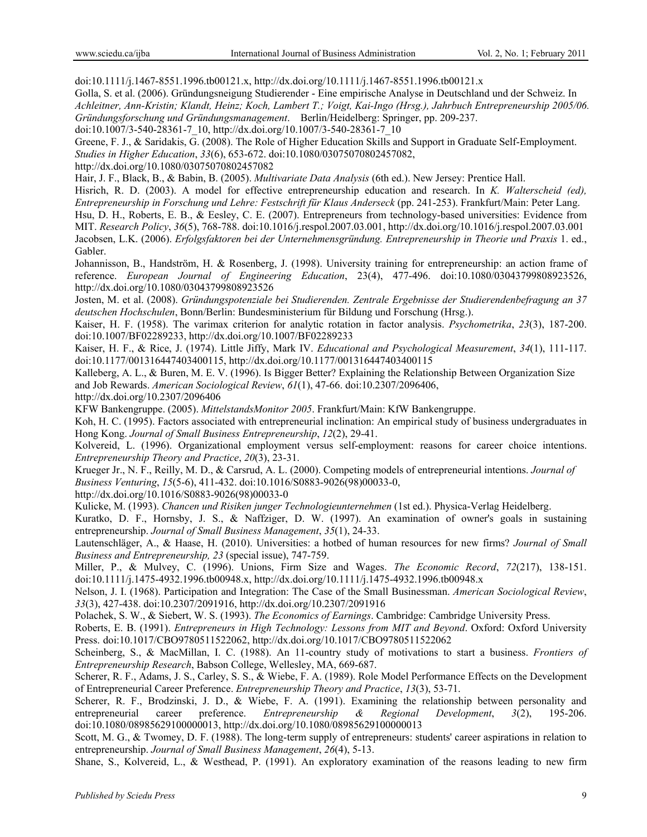doi:10.1111/j.1467-8551.1996.tb00121.x, http://dx.doi.org/10.1111/j.1467-8551.1996.tb00121.x

Golla, S. et al. (2006). Gründungsneigung Studierender - Eine empirische Analyse in Deutschland und der Schweiz. In *Achleitner, Ann-Kristin; Klandt, Heinz; Koch, Lambert T.; Voigt, Kai-Ingo (Hrsg.), Jahrbuch Entrepreneurship 2005/06. Gründungsforschung und Gründungsmanagement*. Berlin/Heidelberg: Springer, pp. 209-237.

doi:10.1007/3-540-28361-7\_10, http://dx.doi.org/10.1007/3-540-28361-7\_10

Greene, F. J., & Saridakis, G. (2008). The Role of Higher Education Skills and Support in Graduate Self-Employment. *Studies in Higher Education*, *33*(6), 653-672. doi:10.1080/03075070802457082,

http://dx.doi.org/10.1080/03075070802457082

Hair, J. F., Black, B., & Babin, B. (2005). *Multivariate Data Analysis* (6th ed.). New Jersey: Prentice Hall.

Hisrich, R. D. (2003). A model for effective entrepreneurship education and research. In *K. Walterscheid (ed), Entrepreneurship in Forschung und Lehre: Festschrift für Klaus Anderseck* (pp. 241-253). Frankfurt/Main: Peter Lang.

Hsu, D. H., Roberts, E. B., & Eesley, C. E. (2007). Entrepreneurs from technology-based universities: Evidence from MIT. *Research Policy*, *36*(5), 768-788. doi:10.1016/j.respol.2007.03.001, http://dx.doi.org/10.1016/j.respol.2007.03.001 Jacobsen, L.K. (2006). *Erfolgsfaktoren bei der Unternehmensgründung. Entrepreneurship in Theorie und Praxis* 1. ed., Gabler.

Johannisson, B., Handström, H. & Rosenberg, J. (1998). University training for entrepreneurship: an action frame of reference. *European Journal of Engineering Education*, 23(4), 477-496. doi:10.1080/03043799808923526, http://dx.doi.org/10.1080/03043799808923526

Josten, M. et al. (2008). *Gründungspotenziale bei Studierenden. Zentrale Ergebnisse der Studierendenbefragung an 37 deutschen Hochschulen*, Bonn/Berlin: Bundesministerium für Bildung und Forschung (Hrsg.).

Kaiser, H. F. (1958). The varimax criterion for analytic rotation in factor analysis. *Psychometrika*, *23*(3), 187-200. doi:10.1007/BF02289233, http://dx.doi.org/10.1007/BF02289233

Kaiser, H. F., & Rice, J. (1974). Little Jiffy, Mark IV. *Educational and Psychological Measurement*, *34*(1), 111-117. doi:10.1177/001316447403400115, http://dx.doi.org/10.1177/001316447403400115

Kalleberg, A. L., & Buren, M. E. V. (1996). Is Bigger Better? Explaining the Relationship Between Organization Size and Job Rewards. *American Sociological Review*, *61*(1), 47-66. doi:10.2307/2096406,

http://dx.doi.org/10.2307/2096406

KFW Bankengruppe. (2005). *MittelstandsMonitor 2005*. Frankfurt/Main: KfW Bankengruppe.

Koh, H. C. (1995). Factors associated with entrepreneurial inclination: An empirical study of business undergraduates in Hong Kong. *Journal of Small Business Entrepreneurship*, *12*(2), 29-41.

Kolvereid, L. (1996). Organizational employment versus self-employment: reasons for career choice intentions. *Entrepreneurship Theory and Practice*, *20*(3), 23-31.

Krueger Jr., N. F., Reilly, M. D., & Carsrud, A. L. (2000). Competing models of entrepreneurial intentions. *Journal of Business Venturing*, *15*(5-6), 411-432. doi:10.1016/S0883-9026(98)00033-0,

http://dx.doi.org/10.1016/S0883-9026(98)00033-0

Kulicke, M. (1993). *Chancen und Risiken junger Technologieunternehmen* (1st ed.). Physica-Verlag Heidelberg.

Kuratko, D. F., Hornsby, J. S., & Naffziger, D. W. (1997). An examination of owner's goals in sustaining entrepreneurship. *Journal of Small Business Management*, *35*(1), 24-33.

Lautenschläger, A., & Haase, H. (2010). Universities: a hotbed of human resources for new firms? *Journal of Small Business and Entrepreneurship, 23* (special issue), 747-759.

Miller, P., & Mulvey, C. (1996). Unions, Firm Size and Wages. *The Economic Record*, *72*(217), 138-151. doi:10.1111/j.1475-4932.1996.tb00948.x, http://dx.doi.org/10.1111/j.1475-4932.1996.tb00948.x

Nelson, J. I. (1968). Participation and Integration: The Case of the Small Businessman. *American Sociological Review*, *33*(3), 427-438. doi:10.2307/2091916, http://dx.doi.org/10.2307/2091916

Polachek, S. W., & Siebert, W. S. (1993). *The Economics of Earnings*. Cambridge: Cambridge University Press.

Roberts, E. B. (1991). *Entrepreneurs in High Technology: Lessons from MIT and Beyond*. Oxford: Oxford University Press. doi:10.1017/CBO9780511522062, http://dx.doi.org/10.1017/CBO9780511522062

Scheinberg, S., & MacMillan, I. C. (1988). An 11-country study of motivations to start a business. *Frontiers of Entrepreneurship Research*, Babson College, Wellesley, MA, 669-687.

Scherer, R. F., Adams, J. S., Carley, S. S., & Wiebe, F. A. (1989). Role Model Performance Effects on the Development of Entrepreneurial Career Preference. *Entrepreneurship Theory and Practice*, *13*(3), 53-71.

Scherer, R. F., Brodzinski, J. D., & Wiebe, F. A. (1991). Examining the relationship between personality and entrepreneurial career preference. *Entrepreneurship & Regional Development*, *3*(2), 195-206. doi:10.1080/08985629100000013, http://dx.doi.org/10.1080/08985629100000013

Scott, M. G., & Twomey, D. F. (1988). The long-term supply of entrepreneurs: students' career aspirations in relation to entrepreneurship. *Journal of Small Business Management*, *26*(4), 5-13.

Shane, S., Kolvereid, L., & Westhead, P. (1991). An exploratory examination of the reasons leading to new firm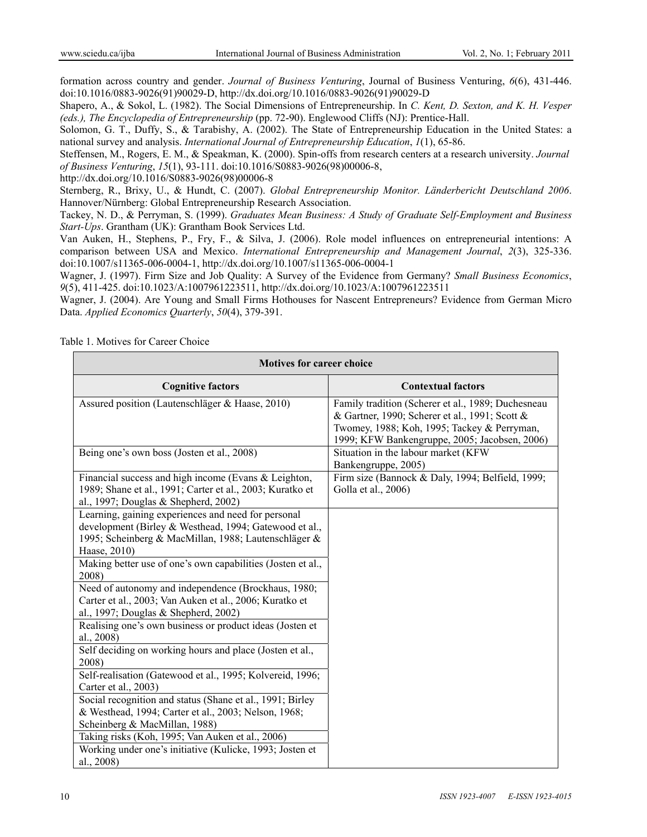formation across country and gender. *Journal of Business Venturing*, Journal of Business Venturing, *6*(6), 431-446. doi:10.1016/0883-9026(91)90029-D, http://dx.doi.org/10.1016/0883-9026(91)90029-D

Shapero, A., & Sokol, L. (1982). The Social Dimensions of Entrepreneurship. In *C. Kent, D. Sexton, and K. H. Vesper (eds.), The Encyclopedia of Entrepreneurship* (pp. 72-90). Englewood Cliffs (NJ): Prentice-Hall.

Solomon, G. T., Duffy, S., & Tarabishy, A. (2002). The State of Entrepreneurship Education in the United States: a national survey and analysis. *International Journal of Entrepreneurship Education*, *1*(1), 65-86.

Steffensen, M., Rogers, E. M., & Speakman, K. (2000). Spin-offs from research centers at a research university. *Journal of Business Venturing*, *15*(1), 93-111. doi:10.1016/S0883-9026(98)00006-8,

http://dx.doi.org/10.1016/S0883-9026(98)00006-8

Sternberg, R., Brixy, U., & Hundt, C. (2007). *Global Entrepreneurship Monitor. Länderbericht Deutschland 2006*. Hannover/Nürnberg: Global Entrepreneurship Research Association.

Tackey, N. D., & Perryman, S. (1999). *Graduates Mean Business: A Study of Graduate Self-Employment and Business Start-Ups*. Grantham (UK): Grantham Book Services Ltd.

Van Auken, H., Stephens, P., Fry, F., & Silva, J. (2006). Role model influences on entrepreneurial intentions: A comparison between USA and Mexico. *International Entrepreneurship and Management Journal*, *2*(3), 325-336. doi:10.1007/s11365-006-0004-1, http://dx.doi.org/10.1007/s11365-006-0004-1

Wagner, J. (1997). Firm Size and Job Quality: A Survey of the Evidence from Germany? *Small Business Economics*, *9*(5), 411-425. doi:10.1023/A:1007961223511, http://dx.doi.org/10.1023/A:1007961223511

Wagner, J. (2004). Are Young and Small Firms Hothouses for Nascent Entrepreneurs? Evidence from German Micro Data. *Applied Economics Quarterly*, *50*(4), 379-391.

| <b>Motives for career choice</b>                                                                                                                                                      |                                                                                                                                                                                                      |
|---------------------------------------------------------------------------------------------------------------------------------------------------------------------------------------|------------------------------------------------------------------------------------------------------------------------------------------------------------------------------------------------------|
| <b>Cognitive factors</b>                                                                                                                                                              | <b>Contextual factors</b>                                                                                                                                                                            |
| Assured position (Lautenschläger & Haase, 2010)                                                                                                                                       | Family tradition (Scherer et al., 1989; Duchesneau<br>& Gartner, 1990; Scherer et al., 1991; Scott &<br>Twomey, 1988; Koh, 1995; Tackey & Perryman,<br>1999; KFW Bankengruppe, 2005; Jacobsen, 2006) |
| Being one's own boss (Josten et al., 2008)                                                                                                                                            | Situation in the labour market (KFW<br>Bankengruppe, 2005)                                                                                                                                           |
| Financial success and high income (Evans & Leighton,<br>1989; Shane et al., 1991; Carter et al., 2003; Kuratko et<br>al., 1997; Douglas & Shepherd, 2002)                             | Firm size (Bannock & Daly, 1994; Belfield, 1999;<br>Golla et al., 2006)                                                                                                                              |
| Learning, gaining experiences and need for personal<br>development (Birley & Westhead, 1994; Gatewood et al.,<br>1995; Scheinberg & MacMillan, 1988; Lautenschläger &<br>Haase, 2010) |                                                                                                                                                                                                      |
| Making better use of one's own capabilities (Josten et al.,<br>2008)                                                                                                                  |                                                                                                                                                                                                      |
| Need of autonomy and independence (Brockhaus, 1980;<br>Carter et al., 2003; Van Auken et al., 2006; Kuratko et<br>al., 1997; Douglas & Shepherd, 2002)                                |                                                                                                                                                                                                      |
| Realising one's own business or product ideas (Josten et<br>al., 2008)                                                                                                                |                                                                                                                                                                                                      |
| Self deciding on working hours and place (Josten et al.,<br>2008)                                                                                                                     |                                                                                                                                                                                                      |
| Self-realisation (Gatewood et al., 1995; Kolvereid, 1996;<br>Carter et al., 2003)                                                                                                     |                                                                                                                                                                                                      |
| Social recognition and status (Shane et al., 1991; Birley<br>& Westhead, 1994; Carter et al., 2003; Nelson, 1968;<br>Scheinberg & MacMillan, 1988)                                    |                                                                                                                                                                                                      |
| Taking risks (Koh, 1995; Van Auken et al., 2006)<br>Working under one's initiative (Kulicke, 1993; Josten et<br>al., 2008)                                                            |                                                                                                                                                                                                      |

Table 1. Motives for Career Choice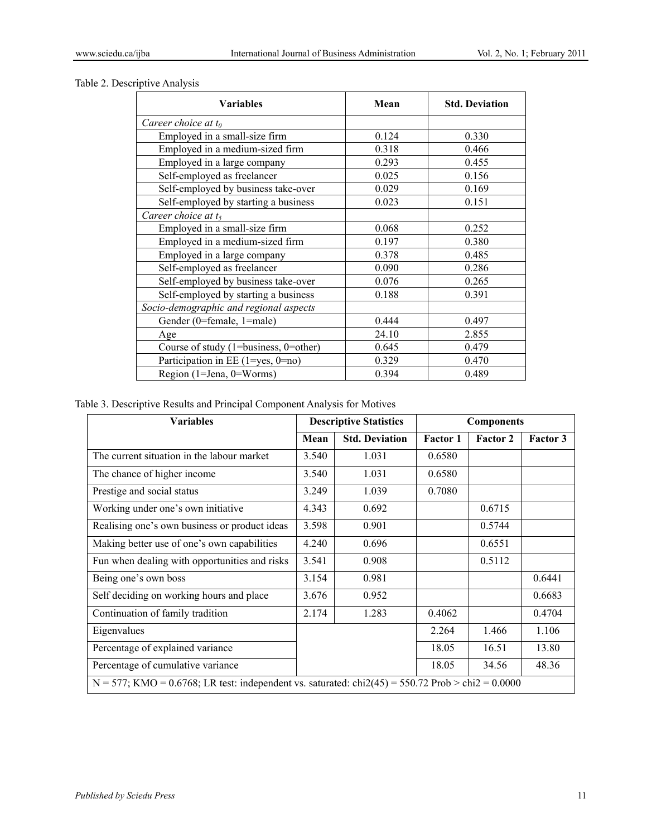## Table 2. Descriptive Analysis

| <b>Variables</b>                       | Mean  | <b>Std. Deviation</b> |
|----------------------------------------|-------|-----------------------|
| Career choice at $t_0$                 |       |                       |
| Employed in a small-size firm          | 0.124 | 0.330                 |
| Employed in a medium-sized firm        | 0.318 | 0.466                 |
| Employed in a large company            | 0.293 | 0.455                 |
| Self-employed as freelancer            | 0.025 | 0.156                 |
| Self-employed by business take-over    | 0.029 | 0.169                 |
| Self-employed by starting a business   | 0.023 | 0.151                 |
| Career choice at $t_5$                 |       |                       |
| Employed in a small-size firm          | 0.068 | 0.252                 |
| Employed in a medium-sized firm        | 0.197 | 0.380                 |
| Employed in a large company            | 0.378 | 0.485                 |
| Self-employed as freelancer            | 0.090 | 0.286                 |
| Self-employed by business take-over    | 0.076 | 0.265                 |
| Self-employed by starting a business   | 0.188 | 0.391                 |
| Socio-demographic and regional aspects |       |                       |
| Gender (0=female, 1=male)              | 0.444 | 0.497                 |
| Age                                    | 24.10 | 2.855                 |
| Course of study (1=business, 0=other)  | 0.645 | 0.479                 |
| Participation in EE (1=yes, 0=no)      | 0.329 | 0.470                 |
| Region $(1=$ Jena, $0=$ Worms)         | 0.394 | 0.489                 |

Table 3. Descriptive Results and Principal Component Analysis for Motives

| <b>Variables</b>                                                                                     |       | <b>Descriptive Statistics</b> |                 | <b>Components</b> |                 |
|------------------------------------------------------------------------------------------------------|-------|-------------------------------|-----------------|-------------------|-----------------|
|                                                                                                      | Mean  | <b>Std. Deviation</b>         | <b>Factor 1</b> | <b>Factor 2</b>   | <b>Factor 3</b> |
| The current situation in the labour market                                                           | 3.540 | 1.031                         | 0.6580          |                   |                 |
| The chance of higher income                                                                          | 3.540 | 1.031                         | 0.6580          |                   |                 |
| Prestige and social status                                                                           | 3.249 | 1.039                         | 0.7080          |                   |                 |
| Working under one's own initiative                                                                   | 4.343 | 0.692                         |                 | 0.6715            |                 |
| Realising one's own business or product ideas                                                        | 3.598 | 0.901                         |                 | 0.5744            |                 |
| Making better use of one's own capabilities                                                          | 4.240 | 0.696                         |                 | 0.6551            |                 |
| Fun when dealing with opportunities and risks                                                        | 3.541 | 0.908                         |                 | 0.5112            |                 |
| Being one's own boss                                                                                 | 3.154 | 0.981                         |                 |                   | 0.6441          |
| Self deciding on working hours and place                                                             | 3.676 | 0.952                         |                 |                   | 0.6683          |
| Continuation of family tradition                                                                     | 2.174 | 1.283                         | 0.4062          |                   | 0.4704          |
| Eigenvalues                                                                                          |       |                               | 2.264           | 1.466             | 1.106           |
| Percentage of explained variance                                                                     |       |                               | 18.05           | 16.51             | 13.80           |
| Percentage of cumulative variance                                                                    |       |                               | 18.05           | 34.56             | 48.36           |
| $N = 577$ ; KMO = 0.6768; LR test: independent vs. saturated: chi2(45) = 550.72 Prob > chi2 = 0.0000 |       |                               |                 |                   |                 |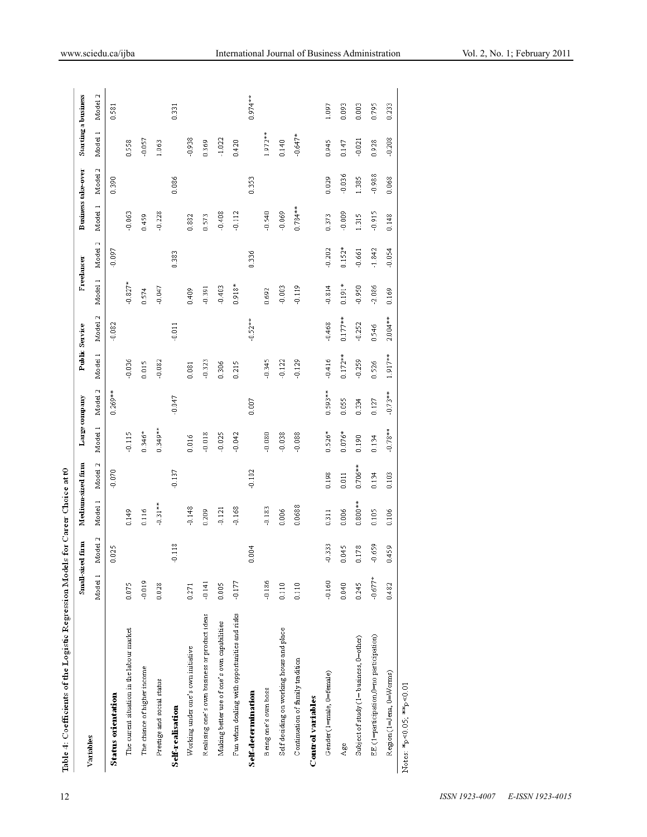| Table 4: Coefficients of the Logistic Regression Models |             |                      | for Career Choice at tO |                   |            |               |                |            |            |          |            |                    |                     |            |
|---------------------------------------------------------|-------------|----------------------|-------------------------|-------------------|------------|---------------|----------------|------------|------------|----------|------------|--------------------|---------------------|------------|
| Variables                                               | Small-sized | firm                 |                         | Medium-sized firm |            | Large company | Public Service |            | Freelancer |          |            | Business take-over | Starting a business |            |
|                                                         | Model 1     | Model 2              | Model 1                 | Model 2           | Model 1    | Model 2       | Model 1        | Model 2    | Model 1    | Model 2  | Model 1    | Model 2            | Model 1             | Model 2    |
| Status orientation                                      |             | 0.025                |                         | $-0.070$          |            | $0.269***$    |                | $-0.082$   |            | $-0.097$ |            | 0.390              |                     | 0.581      |
| The current situation in the labour market              | 0.075       |                      | 0.149                   |                   | $-0.115$   |               | $-0.036$       |            | $0.827*$   |          | $-0.063$   |                    | 0.558               |            |
| The chance of higher income                             | $-0.019$    |                      | 0.116                   |                   | $0.346*$   |               | 0.015          |            | 0.574      |          | 0.459      |                    | $-0.057$            |            |
| Prestige and social status                              | 0.028       |                      | $-0.31***$              |                   | $0.349***$ |               | $-0.082$       |            | $-0.047$   |          | $-0.228$   |                    | 1.063               |            |
| Self-realisation                                        |             | $\frac{8}{118}$<br>P |                         | $-0.137$          |            | $-0.047$      |                | $-0.011$   |            | 0.383    |            | 0.086              |                     | 0.331      |
| Working under one's own initiative                      | 0.271       |                      | $-0.148$                |                   | 0.016      |               | 0.081          |            | 0.409      |          | 0.882      |                    | $-0.938$            |            |
| Realising one's own business or product ideas           | $-0.141$    |                      | 0.209                   |                   | $-0.018$   |               | $-0.323$       |            | $-0.391$   |          | 0.573      |                    | 0.369               |            |
| Making better use of one's own capabilities             | 0.005       |                      | $-0.121$                |                   | $-0.025$   |               | 0.306          |            | $-0.403$   |          | $-0.408$   |                    | $-1.022$            |            |
| Fun when dealing with opportunities and risks           | $-0.177$    |                      | $-0.168$                |                   | $-0.042$   |               | 0.215          |            | $0.918*$   |          | $-0.112$   |                    | 0.420               |            |
| Self-determination                                      |             | 0.004                |                         | $-0.102$          |            | 0.007         |                | $-0.52***$ |            | 0.336    |            | 0.353              |                     | $0.974***$ |
| Being one's own boss                                    | $-0.186$    |                      | $-0.183$                |                   | $-0.080$   |               | $-0.345$       |            | 0.692      |          | $-0.540$   |                    | $1.972***$          |            |
| Self deciding on working hours and place                | 0.110       |                      | 0.006                   |                   | $-0.038$   |               | $-0.122$       |            | $-0.003$   |          | $-0.069$   |                    | 0.140               |            |
| Continuation of family tradition                        | 0.110       |                      | 0.0688                  |                   | $-0.088$   |               | $-0.129$       |            | $-0.119$   |          | $0.784***$ |                    | $-0.647*$           |            |
| Control variables                                       |             |                      |                         |                   |            |               |                |            |            |          |            |                    |                     |            |
| Gender (1=male, 0=female)                               | $-0.160$    | ន្ល<br>ę             | 0.311                   | 0.198             | $0.526*$   | $0.593***$    | $-0.416$       | $-0.468$   | $-0.814$   | $-0.202$ | 0.373      | 0.029              | 0.945               | 1.097      |
| Agee                                                    | 0.040       | 0.045                | 0.006                   | 0.011             | $0.076*$   | 0.055         | $0.172**$      | $0.177***$ | $0.191*$   | $0.152*$ | $-0.009$   | $-0.036$           | 0.147               | 0.093      |
| Subject of study (1=business, 0=other)                  | 0.245       | 0.178                | $0.800**$               | $0.706***$        | 0.190      | 0.334         | $-0.259$       | $-0.252$   | $-0.950$   | $-0.661$ | 1.315      | 1.385              | $-0.021$            | 0.003      |
| EE (1=participation,0=no participation)                 | $-0.677*$   | 659<br>ę             | 0.105                   | 0.134             | 0.134      | 0.127         | 0.526          | 0.546      | $-2.086$   | $-1.842$ | $-0.915$   | -0.988             | 0.928               | 0.795      |
| Region (1=Jena, 0=Worms)                                | 0.482       | 459<br>o             | 0.106                   | 0.103             | $-0.78***$ | $-0.73***$    | $1.917**$      | $2.004**$  | 0.169      | $-0.054$ | 0.148      | 0.068              | $-0.208$            | 0.233      |
| Notes: *p<0.05; **p<0.01                                |             |                      |                         |                   |            |               |                |            |            |          |            |                    |                     |            |